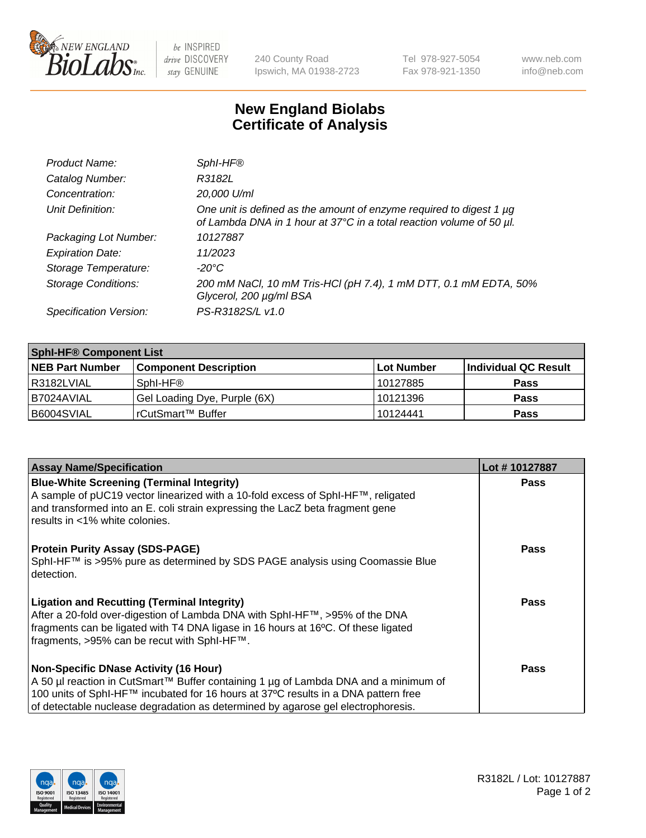

be INSPIRED drive DISCOVERY stay GENUINE

240 County Road Ipswich, MA 01938-2723 Tel 978-927-5054 Fax 978-921-1350 www.neb.com info@neb.com

## **New England Biolabs Certificate of Analysis**

| Product Name:              | SphI-HF®                                                                                                                                         |
|----------------------------|--------------------------------------------------------------------------------------------------------------------------------------------------|
| Catalog Number:            | R3182L                                                                                                                                           |
| Concentration:             | 20,000 U/ml                                                                                                                                      |
| Unit Definition:           | One unit is defined as the amount of enzyme required to digest 1 $\mu$ g<br>of Lambda DNA in 1 hour at 37°C in a total reaction volume of 50 µl. |
| Packaging Lot Number:      | 10127887                                                                                                                                         |
| <b>Expiration Date:</b>    | 11/2023                                                                                                                                          |
| Storage Temperature:       | $-20^{\circ}$ C                                                                                                                                  |
| <b>Storage Conditions:</b> | 200 mM NaCl, 10 mM Tris-HCl (pH 7.4), 1 mM DTT, 0.1 mM EDTA, 50%<br>Glycerol, 200 µg/ml BSA                                                      |
| Specification Version:     | PS-R3182S/L v1.0                                                                                                                                 |

| <b>Sphl-HF® Component List</b> |                              |            |                      |  |  |
|--------------------------------|------------------------------|------------|----------------------|--|--|
| <b>NEB Part Number</b>         | <b>Component Description</b> | Lot Number | Individual QC Result |  |  |
| l R3182LVIAL                   | Sphl-HF®                     | 10127885   | <b>Pass</b>          |  |  |
| I B7024AVIAL                   | Gel Loading Dye, Purple (6X) | 10121396   | <b>Pass</b>          |  |  |
| B6004SVIAL                     | rCutSmart™ Buffer            | 10124441   | <b>Pass</b>          |  |  |

| <b>Assay Name/Specification</b>                                                                                                                                                                     | Lot #10127887 |
|-----------------------------------------------------------------------------------------------------------------------------------------------------------------------------------------------------|---------------|
| <b>Blue-White Screening (Terminal Integrity)</b>                                                                                                                                                    | <b>Pass</b>   |
| A sample of pUC19 vector linearized with a 10-fold excess of SphI-HF™, religated<br>and transformed into an E. coli strain expressing the LacZ beta fragment gene<br>results in <1% white colonies. |               |
| <b>Protein Purity Assay (SDS-PAGE)</b>                                                                                                                                                              | <b>Pass</b>   |
| SphI-HF™ is >95% pure as determined by SDS PAGE analysis using Coomassie Blue<br>l detection.                                                                                                       |               |
| <b>Ligation and Recutting (Terminal Integrity)</b>                                                                                                                                                  | <b>Pass</b>   |
| After a 20-fold over-digestion of Lambda DNA with SphI-HF™, >95% of the DNA<br>fragments can be ligated with T4 DNA ligase in 16 hours at 16°C. Of these ligated                                    |               |
| fragments, >95% can be recut with SphI-HF™.                                                                                                                                                         |               |
| <b>Non-Specific DNase Activity (16 Hour)</b>                                                                                                                                                        | Pass          |
| A 50 µl reaction in CutSmart™ Buffer containing 1 µg of Lambda DNA and a minimum of                                                                                                                 |               |
| 100 units of SphI-HF™ incubated for 16 hours at 37°C results in a DNA pattern free                                                                                                                  |               |
| of detectable nuclease degradation as determined by agarose gel electrophoresis.                                                                                                                    |               |